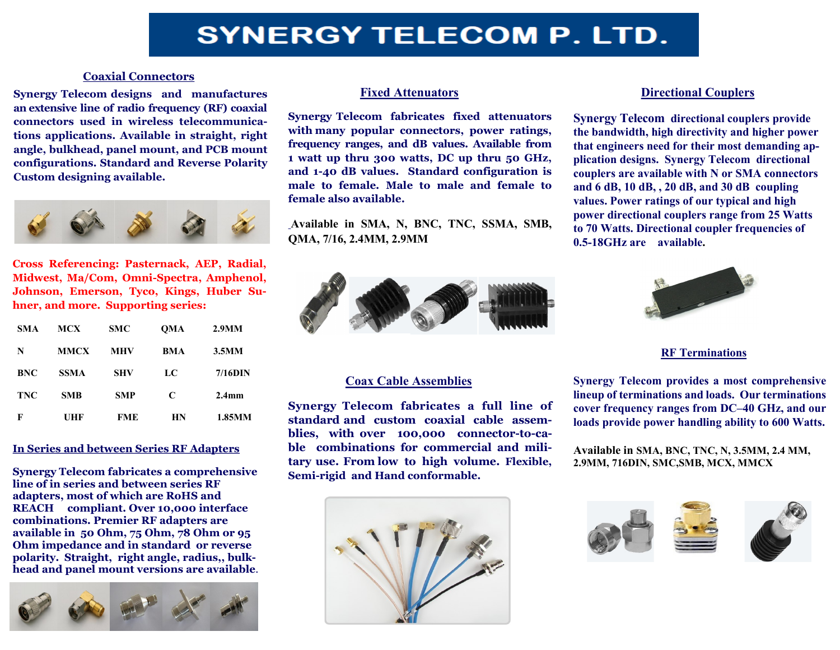# **SYNERGY TELECOM P. LTD.**

#### **Coaxial Connectors**

**Synergy Telecom designs and manufactures an extensive line of radio frequency (RF) coaxial connectors used in wireless telecommunications applications. Available in straight, right angle, bulkhead, panel mount, and PCB mount configurations. Standard and Reverse Polarity Custom designing available.**



**Cross Referencing: Pasternack, AEP, Radial, Midwest, Ma/Com, Omni-Spectra, Amphenol, Johnson, Emerson, Tyco, Kings, Huber Suhner, and more. Supporting series:** 

| <b>SMA</b> | <b>MCX</b>  | <b>SMC</b> | <b>OMA</b> | 2.9M <sub>M</sub> |
|------------|-------------|------------|------------|-------------------|
| N          | <b>MMCX</b> | <b>MHV</b> | <b>BMA</b> | 3.5M <sub>M</sub> |
| <b>BNC</b> | <b>SSMA</b> | <b>SHV</b> | LC         | $7/16$ DIN        |
| <b>TNC</b> | <b>SMB</b>  | <b>SMP</b> | C          | 2.4 <sub>mm</sub> |
| F          | UHF         | <b>FME</b> | HN         | 1.85MM            |

#### **In Series and between Series RF Adapters**

**Synergy Telecom fabricates a comprehensive line of in series and between series RF adapters, most of which are RoHS and REACH compliant. Over 10,000 interface combinations. Premier RF adapters are available in 50 Ohm, 75 Ohm, 78 Ohm or 95 Ohm impedance and in standard or reverse polarity. Straight, right angle, radius,, bulkhead and panel mount versions are available**.



#### **Fixed Attenuators**

**Synergy Telecom fabricates fixed attenuators with many popular connectors, power ratings, frequency ranges, and dB values. Available from 1 watt up thru 300 watts, DC up thru 50 GHz, and 1-40 dB values. Standard configuration is male to female. Male to male and female to female also available.** 

**Available in SMA, N, BNC, TNC, SSMA, SMB, QMA, 7/16, 2.4MM, 2.9MM**



### **Coax Cable Assemblies**

**Synergy Telecom fabricates a full line of standard and custom coaxial cable assemblies, with over 100,000 connector-to-cable combinations for commercial and military use. From low to high volume. Flexible, Semi-rigid and Hand conformable.** 



# **Directional Couplers**

**Synergy Telecom directional couplers provide the bandwidth, high directivity and higher power that engineers need for their most demanding application designs. Synergy Telecom directional couplers are available with N or SMA connectors and 6 dB, 10 dB, , 20 dB, and 30 dB coupling values. Power ratings of our typical and high power directional couplers range from 25 Watts to 70 Watts. Directional coupler frequencies of 0.5-18GHz are available.** 



#### **RF Terminations**

**Synergy Telecom provides a most comprehensive lineup of terminations and loads. Our terminations cover frequency ranges from DC–40 GHz, and our loads provide power handling ability to 600 Watts.** 

**Available in SMA, BNC, TNC, N, 3.5MM, 2.4 MM, 2.9MM, 716DIN, SMC,SMB, MCX, MMCX**